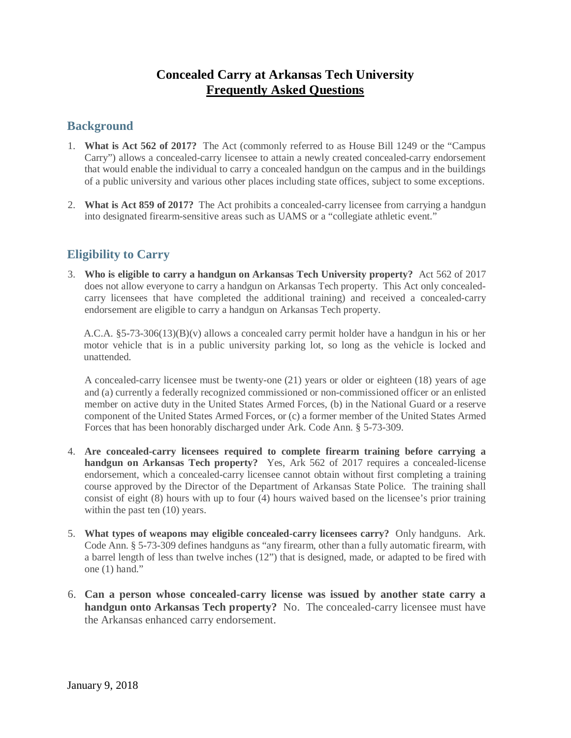# **Concealed Carry at Arkansas Tech University Frequently Asked Questions**

### **Background**

- 1. **What is Act 562 of 2017?** The Act (commonly referred to as House Bill 1249 or the "Campus Carry") allows a concealed-carry licensee to attain a newly created concealed-carry endorsement that would enable the individual to carry a concealed handgun on the campus and in the buildings of a public university and various other places including state offices, subject to some exceptions.
- 2. **What is Act 859 of 2017?** The Act prohibits a concealed-carry licensee from carrying a handgun into designated firearm-sensitive areas such as UAMS or a "collegiate athletic event."

## **Eligibility to Carry**

3. **Who is eligible to carry a handgun on Arkansas Tech University property?** Act 562 of 2017 does not allow everyone to carry a handgun on Arkansas Tech property.This Act only concealedcarry licensees that have completed the additional training) and received a concealed-carry endorsement are eligible to carry a handgun on Arkansas Tech property.

A.C.A.  $\S$ 5-73-306(13)(B)(v) allows a concealed carry permit holder have a handgun in his or her motor vehicle that is in a public university parking lot, so long as the vehicle is locked and unattended.

A concealed-carry licensee must be twenty-one (21) years or older or eighteen (18) years of age and (a) currently a federally recognized commissioned or non-commissioned officer or an enlisted member on active duty in the United States Armed Forces, (b) in the National Guard or a reserve component of the United States Armed Forces, or (c) a former member of the United States Armed Forces that has been honorably discharged under Ark. Code Ann. § 5-73-309.

- 4. **Are concealed-carry licensees required to complete firearm training before carrying a handgun on Arkansas Tech property?** Yes, Ark 562 of 2017 requires a concealed-license endorsement, which a concealed-carry licensee cannot obtain without first completing a training course approved by the Director of the Department of Arkansas State Police. The training shall consist of eight (8) hours with up to four (4) hours waived based on the licensee's prior training within the past ten  $(10)$  years.
- 5. **What types of weapons may eligible concealed-carry licensees carry?** Only handguns. Ark. Code Ann. § 5-73-309 defines handguns as "any firearm, other than a fully automatic firearm, with a barrel length of less than twelve inches (12") that is designed, made, or adapted to be fired with one (1) hand."
- 6. **Can a person whose concealed-carry license was issued by another state carry a handgun onto Arkansas Tech property?** No. The concealed-carry licensee must have the Arkansas enhanced carry endorsement.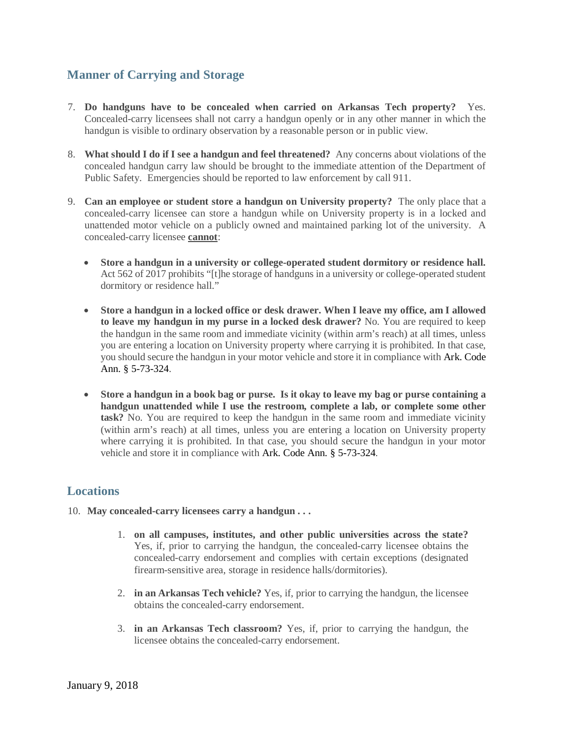## **Manner of Carrying and Storage**

- 7. **Do handguns have to be concealed when carried on Arkansas Tech property?** Yes. Concealed-carry licensees shall not carry a handgun openly or in any other manner in which the handgun is visible to ordinary observation by a reasonable person or in public view.
- 8. **What should I do if I see a handgun and feel threatened?** Any concerns about violations of the concealed handgun carry law should be brought to the immediate attention of the Department of Public Safety. Emergencies should be reported to law enforcement by call 911.
- 9. **Can an employee or student store a handgun on University property?** The only place that a concealed-carry licensee can store a handgun while on University property is in a locked and unattended motor vehicle on a publicly owned and maintained parking lot of the university. A concealed-carry licensee **cannot**:
	- **Store a handgun in a university or college-operated student dormitory or residence hall.**  Act 562 of 2017 prohibits "[t]he storage of handguns in a university or college-operated student dormitory or residence hall."
	- **Store a handgun in a locked office or desk drawer. When I leave my office, am I allowed to leave my handgun in my purse in a locked desk drawer?** No. You are required to keep the handgun in the same room and immediate vicinity (within arm's reach) at all times, unless you are entering a location on University property where carrying it is prohibited. In that case, you should secure the handgun in your motor vehicle and store it in compliance with Ark. Code Ann. § 5-73-324.
	- **Store a handgun in a book bag or purse. Is it okay to leave my bag or purse containing a handgun unattended while I use the restroom, complete a lab, or complete some other task?** No. You are required to keep the handgun in the same room and immediate vicinity (within arm's reach) at all times, unless you are entering a location on University property where carrying it is prohibited. In that case, you should secure the handgun in your motor vehicle and store it in compliance with Ark. Code Ann. § 5-73-324.

#### **Locations**

- 10. **May concealed-carry licensees carry a handgun . . .** 
	- 1. **on all campuses, institutes, and other public universities across the state?**  Yes, if, prior to carrying the handgun, the concealed-carry licensee obtains the concealed-carry endorsement and complies with certain exceptions (designated firearm-sensitive area, storage in residence halls/dormitories).
	- 2. **in an Arkansas Tech vehicle?** Yes, if, prior to carrying the handgun, the licensee obtains the concealed-carry endorsement.
	- 3. **in an Arkansas Tech classroom?** Yes, if, prior to carrying the handgun, the licensee obtains the concealed-carry endorsement.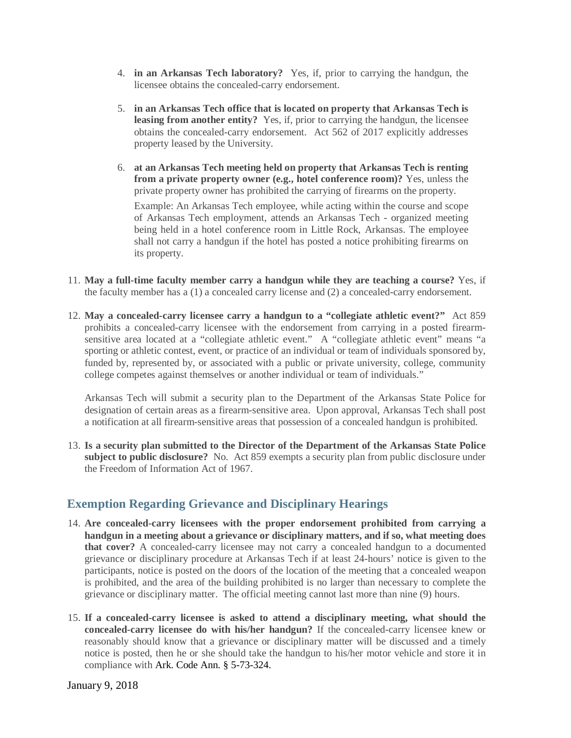- 4. **in an Arkansas Tech laboratory?** Yes, if, prior to carrying the handgun, the licensee obtains the concealed-carry endorsement.
- 5. **in an Arkansas Tech office that is located on property that Arkansas Tech is leasing from another entity?** Yes, if, prior to carrying the handgun, the licensee obtains the concealed-carry endorsement. Act 562 of 2017 explicitly addresses property leased by the University.
- 6. **at an Arkansas Tech meeting held on property that Arkansas Tech is renting from a private property owner (e.g., hotel conference room)?** Yes, unless the private property owner has prohibited the carrying of firearms on the property.

Example: An Arkansas Tech employee, while acting within the course and scope of Arkansas Tech employment, attends an Arkansas Tech - organized meeting being held in a hotel conference room in Little Rock, Arkansas. The employee shall not carry a handgun if the hotel has posted a notice prohibiting firearms on its property.

- 11. **May a full-time faculty member carry a handgun while they are teaching a course?** Yes, if the faculty member has a (1) a concealed carry license and (2) a concealed-carry endorsement.
- 12. **May a concealed-carry licensee carry a handgun to a "collegiate athletic event?"** Act 859 prohibits a concealed-carry licensee with the endorsement from carrying in a posted firearmsensitive area located at a "collegiate athletic event." A "collegiate athletic event" means "a sporting or athletic contest, event, or practice of an individual or team of individuals sponsored by, funded by, represented by, or associated with a public or private university, college, community college competes against themselves or another individual or team of individuals."

Arkansas Tech will submit a security plan to the Department of the Arkansas State Police for designation of certain areas as a firearm-sensitive area. Upon approval, Arkansas Tech shall post a notification at all firearm-sensitive areas that possession of a concealed handgun is prohibited.

13. **Is a security plan submitted to the Director of the Department of the Arkansas State Police subject to public disclosure?** No. Act 859 exempts a security plan from public disclosure under the Freedom of Information Act of 1967.

## **Exemption Regarding Grievance and Disciplinary Hearings**

- 14. **Are concealed-carry licensees with the proper endorsement prohibited from carrying a handgun in a meeting about a grievance or disciplinary matters, and if so, what meeting does that cover?** A concealed-carry licensee may not carry a concealed handgun to a documented grievance or disciplinary procedure at Arkansas Tech if at least 24-hours' notice is given to the participants, notice is posted on the doors of the location of the meeting that a concealed weapon is prohibited, and the area of the building prohibited is no larger than necessary to complete the grievance or disciplinary matter. The official meeting cannot last more than nine (9) hours.
- 15. **If a concealed-carry licensee is asked to attend a disciplinary meeting, what should the concealed-carry licensee do with his/her handgun?** If the concealed-carry licensee knew or reasonably should know that a grievance or disciplinary matter will be discussed and a timely notice is posted, then he or she should take the handgun to his/her motor vehicle and store it in compliance with Ark. Code Ann. § 5-73-324.